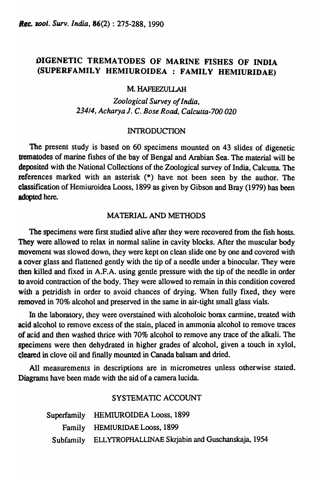# DIGENETIC TREMATODES OF MARINE FISHES OF INDIA (SUPERFAMILY HEMIUROIDEA : FAMILY HEMIURIDAE)

### M. HAFEEZUlLAH

*Zoological Survey of India, 23414, Acharya* J. C. *Bose Road, Calcutta-700 020* 

### INTRODUCTION

The present study is based on 60 specimens mounted on 43 slides of digenetic trematodes of marine fishes of the bay of Bengal and Arabian Sea. The material will be deposited with the National Collections of the Zoological survey of India, Calcutta. The references marked with an asterisk (\*) have not been seen by the author. The classification of Hemiuroidea Looss, 1899 as given by Gibson and Bray (1979) has been adopted here.

### MATERIAL AND METHODS

The specimens were first studied alive after they were recovered from the fish hosts. They were allowed to relax in normal saline in cavity blocks. After the muscular body movement was slowed down, they were kept on clean slide one by one and covered with a cover glass and flattened gently with the tip of a needle under a binocular. They were then killed and fixed in A.F.A. using gentle pressure with the tip of the needle in order to avoid contraction of the body. They were allowed to remain in this condition covered with a petridish in order to avoid chances of drying. When fully fixed, they were removed in 70% alcohol and preserved in the same in air-tight small glass vials.

In the laboratory, they were overstained with alcoholoic borax carmine, treated with acid alcohol to remove excess of the stain, placed in ammonia alcohol to remove traces of acid and then washed thrice with 70% alcohol to remove any trace of the alkali. The specimens were then dehydrated in higher grades of alcohol, given a touch in xylol, cleared in clove oil and finally mounted in Canada balsam and dried.

All measurements in descriptions are in micrometres unless otherwise stated. Diagrams have been made with the aid of a camera lucida.

### SYSTEMATIC ACCOUNT

| Superfamily HEMIUROIDEA Looss, 1899                        |
|------------------------------------------------------------|
| Family HEMIURIDAE Looss, 1899                              |
| Subfamily ELLYTROPHALLINAE Skrjabin and Guschanskaja, 1954 |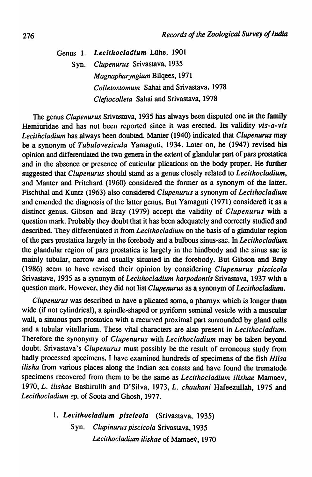Genus 1. *Lecithocladium* Lühe, 1901 Syn. *Clupenurus* Srivastava, 1935 *Magnapharyngium* Bilqees, 1971 *Colletostomum* Sahai and Srivastava, 1978 *Cleflocolleta* Sahai and Srivastava, 1978

The genus *Clupenurus* Srivastava, 1935 lias always been disputed one in the family Hemiuridae and has not been reported since it was erected. Its validity *vis-a-vis Lecithcladium* has always been doubted. Manter (1940) indicated that *Clupenurus* may be a synonym of *Tubulovesicula* Yamaguti, 1934. Later on, he (1947) revised his opinion and differentiated the two genera in the extent of glandular part of pars prostatica and in the absence or presence of cuticular plications on the body proper. He further suggested that *Clupenurus* should stand as a genus closely related to *Lecithocladium,*  and Manter and Pritchard (1960) considered the former as a synonym of the latter. Fischthal and Kuntz (1963) also considered *Clupenurus* a synonym of *Lecithocladium*  and emended the diagnosis of the latter genus. But Yamaguti (1971) considered it as a distinct genus. Gibson and Bray (1979) accept the validity of C *lupenurus* with a question mark. Probably they doubt that it has been adequately' and correctly studied and described. They differentiated it from *Lecithocladium* on the basis of a glandular region of the pars prostatica largely in the forebody and a bulbous sinus-sac. In *Lecilhocladium*  the glandular region of pars prostatica is largely in the hindbody and the sinus sac is mainly tubular, narrow and usually situated in the forebody. But Gibson and Bray (1986) seem to have revised their opinion by considering *Clupenurus piscicola*  Srivastave, 1935 as a synonym of *Lecithocladium harpodontis* Srivastava, 1937 with a question mark. However, they did not list *Clupenurus* as a synonym of *Lecithocladium.* 

*Clupenurus* was described to have a plicated soma, a pharnyx which is longer thatn wide (if not cylindrical), a spindle-shaped or pyriform seminal vesicle with a muscular wall, a sinuous pars prostatica with a recurved proximal part surrounded by gland cells and a tubular vitellarium. These vital characters are also present in *Lecithocladium.*  Therefore the synonymy of *Clupenurus* with *Lecithocladium* may be taken beyond doubt. Srivastava's *Clupenurus* must possibly be the result of erroneous study from badly processed specimens. I have examined hundreds of specimens of the fish *Hilsa ilisha* from various places along the Indian sea coasts and have found the trematode specimens recovered from them to be the same as *Lecithocladium ilishae* Mamaev, 1970, *L. iUshae* Bashirullh and D'Silva, 1973, *L. chauhani* HafeezulIah, 1975 and *Lecithocladium* sp. of Soota and Ghosh, 1977.

> *1. Lecithocladium piscicola* (Srivastava, 1935) Syn. *Clupinurus piscicola* Srivastava, 1935 *Lecithocladium ilishae* of Mamaev, 1970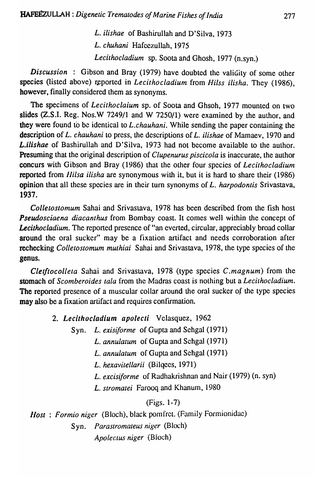*L. ilishae* of Bashirullah and D'Silva, 1973 *L. chuhani* Hafcezullah, 1975 *Lecithocladium* sp. Soota and Ghosh, 1977 (n.syn.)

*Discussion* : Gibson and Bray (1979) have doubted the validity of some other species (listed above) reported in *Lecithocladium* from *Hilss ilisha*. They (1986), however, finally considered them as synonyms.

The specimens of *Lecithoclaium* sp. of Soota and Ghsoh, 1977 mounted on two slides (Z.S.I. Reg. Nos.W 7249/1 and W 7250/1) were examined by the author, and they were found to be identical to *L.chauhani*. While sending the paper containing the description of *L. ehauhani* to press, the descriptions of *L. ilishae* of Mamaev, 1970 and *L.ilishae* of Bashirullah and D'Silva, 1973 had not become available to the author. Presuming that the original description of *Clupenurus piscicola* is inaccurate, the author concurs with Gibson and Bray (1986) that the other four species of *Lecithocladium*  reported from *IIi/sa ilisha* are synonymous with it, but it is hard to share their (1986) opinion that all these species are in their lurn synonyms of *L. harpodontis* Srivastava, 1937.

*Colletostomum* Sahai and Srivastava, 1978 has been described from the fish host *Pseudosciaena diacanthus* from Bombay coast. It comes well within the concept of *Lecithocladium.* The reported presence of "an everted, circular, appreciably broad collar around the oral sucker" may be a fixation artifact and needs corroboration after rechecking *Colletostomum muthiai* Sahai and Srivastava, 1978, the type species of the genus.

*Cletftoeolleta* Sahai and Srivastava, 1978 (type species *C.magnum)* from the stomach of *Scomberoides tala* from the Madras coast is nothing but a *Leeithoeladium.*  The reported presence of a muscular collar around the oral sucker of the type species may also be a fixation artifact and requires confirmation.

- *2. Lecithocladium apolecti* Velasquez, 1962
	- Syn. *L. exisiforme* of Gupta and Sehgal (1971)
		- *L. annulatum* of Gupta and Sehgal (1971)
		- *L. annulatum* of Gupta and Sehgal (1971)
		- *L. hexavitellarii* (Bilqecs, 1971)
		- *L. excisiforme* of Radhakrishnan and Nair (1979) (n. syn)
		- *L. Slromatei* Farooq and Khanum, 1980

### (Figs. 1-7)

*Host* : *Formio niger* (Bloch), black pomfret. (Family Formionidae)

S yn. *Paraslromaleus niger* (Bloch) *Apoleclus niger* (Bloch)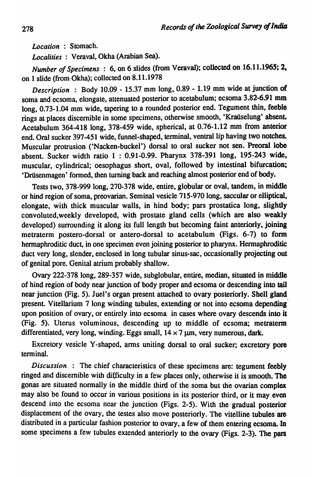*Location* : Stomach.

*Localities:* Veraval, Okha (Arabian Sea).

*Number of Specimens:* 6, on 6 slides (from Veraval); collected on 16.11.1965; 2, on 1 slide (from Okha); collected on 8.11.1978

*Description* : Body 10.09 - 15.37 mm long, 0.89 - 1.19 mm wide at junction of soma and ecsoma, elongate, attenuated posterior to acetabulum; ecsoma 3.82-6.91 mm long, 0.73-1.04 mm wide, tapering to a rounded posterior end. Tegument thin, feeble rings at places discernible in some specimens, otherwise smooth, 'Kraiiselung' absent, Acetabulum 364-418 long, 378-459 wide, spherical, at 0.76-1.12 mm from anterior end. Oral sucker 397-451 wide, funnel-shaped, terminal, ventral lip having two notches. Muscular protrusion ('Nacken-buckel ') dorsal to oral sucker not sen. Preoral lobe absent. Sucker width ratio 1 : 0.91-0.99. Pharynx 378-391 long, 195-243 wide, muscular, cylindrical; oesophagus short, oval, followed by intestinal bifurcation; 'Driisenmagen' formed, then turning back and reaching almost posterior end of body.

Tests two, 378-999 long, 270-378 wide, entire, globular or oval, tandem, in middle or hind region of soma, preovarian. Seminal vesicle 715-970 long, saccular or elliptical, elongate, with thick muscular walls, in hind body; pars prostatica long, slightly convoluted, weekly developed, with prostate gland cells (which are also weakly developed) surrounding it along its full length but becoming faint anteriorly, joining metraterm postero-dorsal or antero-dorsal to acetabulum (Figs. 6-7) to form hermaphroditic duct, in one specimen even joining posterior to pharynx. Hermaphroditic duct very long, slender, enclosed in long tubular sinus-sac, occasionally projecting out of genital pore. Genital atrium probably shallow.

Ovary 222-378 long, 289-357 wide, subglobular, entire, median, situated in middle of hind region of body near junction of body proper and ecsoma or descending into tail near junction (Fig. 5). Juel's organ present attached to ovary posteriorly. Shell gland present. Vitellarium 7 long winding tubules, extending or not into ecsoma depending <sup>~</sup> upon position of ovary, or entirely into ecsoma in cases where ovary descends into it (Fig. 5). Uterus voluminous, descending up to middle of ecsoma; mettatermdifferentiated, very long, winding. Eggs small,  $14 \times 7 \mu m$ , very numerous, dark.

Excretory vesicle Y-shaped, arms uniting dorsal to oral sucker; excretory pore terminal.

*Discussion* : The chief characteristics of these specimens are: tegument feebly ringed and discernible with difficulty in a few places only, otherwise it is smooth. The gonas are situated normally in the middle third of the soma but the ovarian complex may also be found to occur in various positions in its posterior third, or it may even descend into the ecsoma ncar the junction (Figs. 2-5). With the gradual posterior displacement of the ovary, the testes also move posteriorly. The vitelline tubules are distributed in a particular fashion posterior to ovary, a few of them entering ecsoma. In· some specimens a few tubules extended anteriorly to the ovary (Figs. 2-3). The pars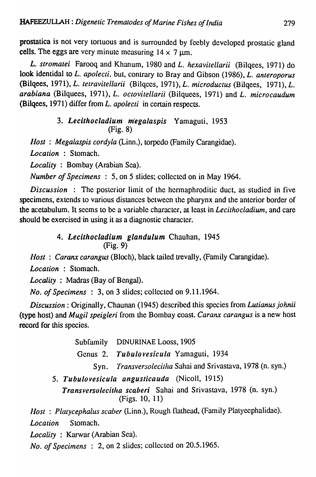prostatica is not very tortuous and is surrounded by feebly developed prostatic gland cells. The eggs are very minute measuring  $14 \times 7$  um.

*L. stromalei* Farooq and Khanum, 1980 and *L. hexavitellarii* (Bilqees, 1971) do look identidal to *L. apo/ecli.* but, contrary to Bray and Gibson (1986), *L. anteroporus*  (Bilqees, 1971), *L. lelravilellarii* (Bilqccs, 1971), *L. microductus* (Bilqees, 1971), *L. arabiana* (Bilquees, 1971), *L. octovilellarii* (Bilquces, 1971) and *L. microcaudum*  (Bilqees, 1971) differ from *L. apo/ecti* in certain respects.

## *3. Lecithocladium megalaspis* Yamaguti, 1953 (Fig. 8)

*Host: Megalaspis cordyla* (Linn.), torpedo (Family Carangidae).

*Location* : Stomach.

*Locality* : Bombay (Arabian Sea).

*Number of Specimens* : 5, on 5 slides; collected on in May 1964.

*Discussion* : The posterior limit of the hermaphroditic duct, as studied in five specimens, extends to various distances between the pharynx and the anterior border of the acetabulum. It seems to be a variable character, at least in *Lecithocladium,* and care should be exercised in using it as a diagnostic character.

# *4. Lecithocladium glandulum* Chauhan, 1945 (Fig. 9)

*llost* : *Caranx carangus* (Bloch), black tailed trevally, (Family Carangidae).

*Location* : Stomach.

*Locality* : Madras (Bay of Bengal).

*No. of Specimens* : 3, on 3 slides; collected on 9.11.1964.

*Discussion:* Originally, Chaunan (1945) described this species from *Lutianus johnii*  (type host) and *Mugil speigleri* from the Bombay coast. *Caranx carangus* is a new host record for this species.

Subfamily DINURINAE Looss, 1905

Genus 2. *1'ubulovesicula* Yamaguti, 1934

Syn. *Transversolecilha* Sahai and Srivastava, 1978 (n. syn.)

5. Tubulovesicula angusticauda (Nicoll, 1915)

*Transversolecitha scaberi* Sahai and Srivastava, 1978 (n. syn.) (Figs. 10, 11)

*Il0SI* : *Plalycephalus scaber* (Linn.), Rough flathead, (Family Platyecphalidae). *Location* Stomach.

*Locality* : Karwar (Arabian Sea).

*No. of Specimens* : 2, on 2 slides; collected on 20.5.1965.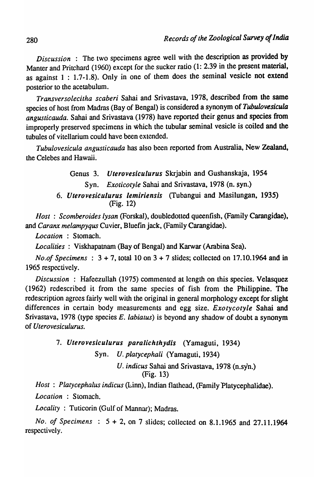*Discussion* : The two specimens agree well with the description as provided by Manter and Pritchard (1960) except for the sucker ratio (1: 2.39 in the present material, as against 1 : 1.7-1.8). Only in one of them does the seminal vesicle not extend posterior to the acetabulum.

*Transversolecitha scaberi* Sahai and Srivastava, 1978, described from the same species of host (rom Madras (Bay of Bengal) is considered a synonym of *Tubulovesicula angusticauda.* Sahai and Srivastava (1978) have reported their genus and species from improperly preserved specimens in which the tubular seminal vesicle is coiled and the tubules of vitellarium could have been extended.

*Tubulovesicula angusticauda* has also been reported from Australia, New Zealand, the Celebes and Hawaii.

Genus 3. *Uterovesiculurus* Skrjabin and Gushanskaja, 1954

S yn. *Exoticoryle* Sahai and Srivastava, 1978 (n. syn.)

*6. Uterovesiculurus lemiriensis* (Tubangui and Masilungan, 1935) (Fig. 12)

*Host* : *Scomberoides lysan* (Forskal), doubledotted queenfish, (Family Carangidae), and *Caranx melampyqus* Cuvier, Bluefin jack, (Family Carangidae).

*Location* : Stomach.

*Localities* : Viskhapatnam (Bay of Bengal) and Karwar (Arabina Sea).

*No.of Specimens* :  $3 + 7$ , total 10 on  $3 + 7$  slides; collected on 17.10.1964 and in 1965 respectively.

*Discussion* : Hafeezullah (1975) commented at length on this species. Velasquez  $(1962)$  redescribed it from the same species of fish from the Philippine. The redescription agrees fairly well with the original in general morphology except for slight differences in certain body measurements and egg size. *Exotycotyle* Sahai and Srivastava, 1978 (type species *E. labiatus)* is beyond any shadow of doubt a synonym of *Uterovesiculurus.* 

*7. Uterovesiculurus paralichthydis* (Yamaguli, 1934)

Syn. *U. platycephali* (Yamaguti, 1934)

*U. indicus* Sahai and Srivastava, 1978 (n.syn.) (Fig. 13)

*Host* : *Platycephalus indicus* (Linn), Indian flathcad, (Family Platycephalidae).

*Location* : Stomach.

*Locality* : Tuticorin (Gulf of Mannar); Madras.

*No. of Specimens* : 5 + 2, on 7 slides; collected on 8.1.1965 and 27.11.1964 respectively.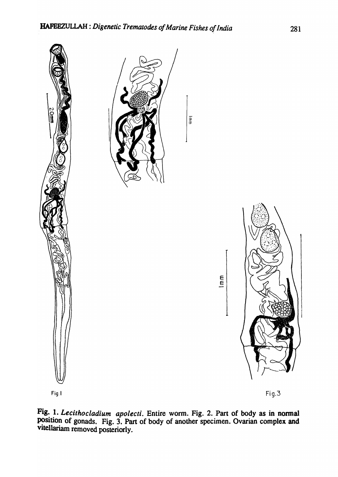

Fig.1





Fig.3

Fig. 1. *Lecithocladium apolecti.* Entire worm. Fig. 2. Part of body as in normal position of gonads. Fig. 3. Part of body of another specimen. Ovarian complex and vitellariam removed posteriorly.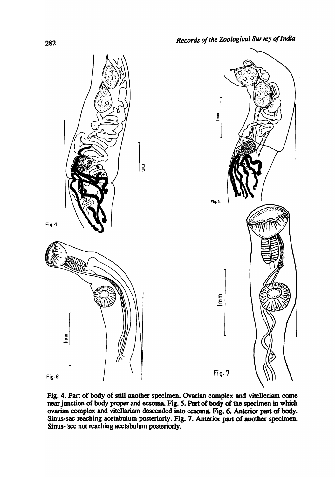

Fig. 4. Part of body of still another specimen. Ovarian complex and vitelleriam come near junction of body proper and ecsoma. Fig. 5. Part of body of the specimen in which ovarian complex and vitellariam descended into ecsoma. Fig. 6. Anterior part of body. Sinus-sac reaching acetabulum posteriorly. Fig. 7. Anterior part of another specimen. Sinus- sec not reaching acetabulum posteriorly.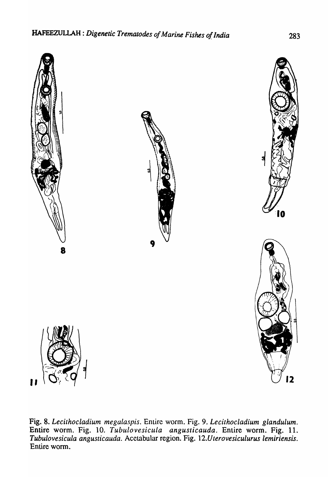

Fig. 8. *Lecithocladium megalaspis.* Entire worm. Fig. 9. *Lecilhocladium glandulum.*  Entire worm. Fig. 10. *Tubulovesicula angusticauda.* Entire worm. Fig. 11. *Tubulovesicula angusticauda.* Acetabular region. Fig. *12.Uterovesiculurus lemiriensis.*  Entire worm.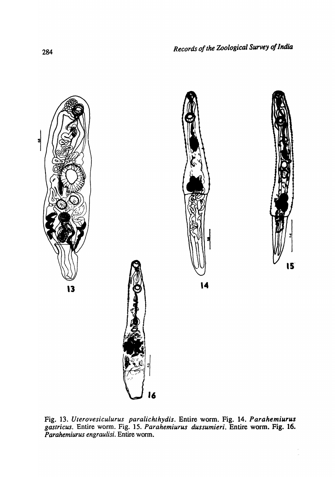

Fig. 13. *Ulerovesiculurus paralichthydis.* Entire worm. Fig. 14. *Parahemiurus gaslricus.* Entire worm. Fig. 15. *Parahemiurus dussumieri.* Entire worm. Fig. 16. *Parahemiurus engraulisi.* Entire worm.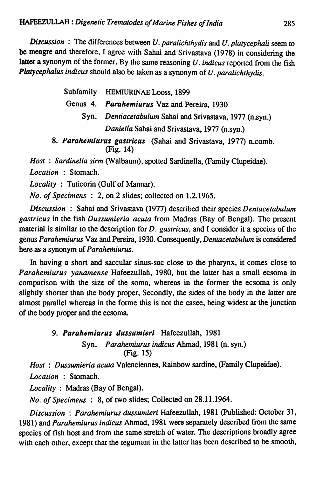*Discussion* : The differences between *U. paralichthydis* and *U. platycephali* seem to be meagre and therefore, I agree with Sahai and Srivastava (1978) in considering the latter a synonym of the former. By the same reasoning *U. indicus* reported from the fish *Platycephalus indicus* should also be taken as a synonym of *U. paralichthydis.* 

Subfamily HEMIURINAE Looss, 1899

- Genus 4. *Parahemiurus* Vaz and Pereira, 1930
	- S yn. *Dentiacetabulum* Sahai and Srivastava, 1977 (n.syn.) *Daniella* Sahai and Srivastava, 1977 (n.syn.)
- 8. Parahemiurus gastricus (Sahai and Srivastava, 1977) n.comb. (Fig. 14)

*Host: Sardinella sirm* (Walbaum), spotted Sardinella, (Family Clupeidae). *Location* : Stomach.

*Locality* : Tuticorin (Gulf of Mannar).

*No. of Specimens* : 2, on 2 slides; collected on 1.2.1965.

*Discussion* : Sahai and Srivastava (1977) described their species *Dentacetabulum gastricus* in the fish *Dussumieria acuta* from Madras (Bay of Bengal). The present material is similar to the description for *D. gastricus*, and I consider it a species of the genus *Parahemiurus* Vaz and Pereira, 1930. Consequently, *Dentacetabulum* is considered here as a synonym of *Parahemiurus.* 

In having a short and saccular sinus-sac close to the pharynx, it comes close to *Parahemiurus yanamense* Hafeezullah, 1980, but the latter has a small ecsoma in comparison with the size of the soma, whereas in the former the ecsoma is only slightly shorter than the body proper, Secondly, the sides of the body in the latter are almost parallel whereas in the forme this is not the casee, being widest at the junction of the body proper and the ecsoma.

> *9. Parahemiurus dussumlerl* Hafeezullah, 1981 Syn. *Parahemiurus indicus* Ahmad, 1981 (n. syn.) (Fig. 15)

*Host: Dussumieria acuta* Valenciennes, Rainbow sardine, (Family Clupeidae). *Location* : Stomach.

*Locality* : Madras (Bay of Bengal).

*No. of Specimens* : 8, of two slides; Collected on 28.11.1964.

*Discussion: Parahemiurus dussunzieri* Hafeezullah, 1981 (Published: October 31, 1981) and *Parahemiurus indicus* Ahmad, 1981 were separately described from the same species of fish host and from the same stretch of water. The descriptions broadly agree with each other, except that the tegument in the latter has been described to be smooth,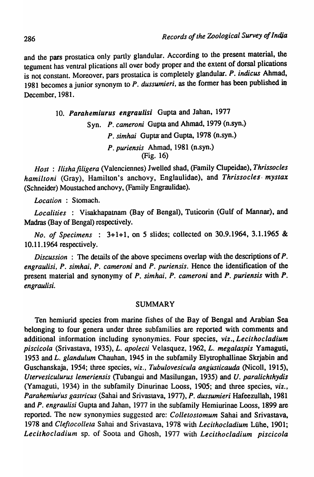and the pars prostatica only partly glandular. According to the present material, the tegument has ventral plications allover body proper and the extent of dorsal plications is not constant. Moreover, pars prostatica is completely glandular. *P. indicus* Ahmad, 1981 becomes a junior synonym to *P. dussumieri*, as the former has been published in December, 1981.

> *10. Parahemiurus engraulisi* Gupta and lahan, 1977 Syn. P. *cameroni* Gupta and Ahmad, 1979 (n.syn.) P. *simhai* Gupta and Gupta, 1978 (n.syn.) P. *puriensis* Ahmad, 1981 (n.syn.) (Fig. 16)

*Host: llishafiligera* (Valenciennes) Jwelled shad, (Family Clupeidae), *Thrissocles hamiltoni* (Gray), Hamilton's anchovy, Englaulidae), and *Thrissoclea· mystax*  (Schneider) Moustached anchovy, (Family Engraulidae).

*Location* : Stomach.

*Localities* : Visakhapatnam (Bay of Bengal), Tuticorin (Gulf of Mannar), and Madras (Bay of Bengal) respectively.

*No. of Specimens* : 3+1+1, on 5 slides; collected on 30.9.1964, 3.1.1965 & 10.11.1964 respectively.

*Discussion* : The details of the above specimens overlap with the descriptions of *P. engraulisi,* P. *simhai,* P. *cameroni* and P. *puriensis.* Hence the identification of the present material and synonymy of P. *simhai,* P. *cameroni* and P. *puriensis* with P. *engraulisi.* 

#### SUMMARY

Ten hemiurid species from marine fishes of the Bay of Bengal and Arabian Sea belonging to four genera under three subfamilies are reported with comments and additional information including synonymies. Four species, *viz., Lecithocladium piscicola* (Srivastava, 1935), *L. apolecli* Velasquez, 1962, L. *mega/aspis* Yamaguti, 1953 and L. *glandulum* Chauhan, 1945 in the subfamily Elytrophallinae Skrjabin and Guschanskaja, 1954; three species, *viz .. Tubulovesicula angilsticauda* (Nicoll, 1915), *Utervesiculurus lemeriensis* (Tubangui and Masilungan, 1935) and *U. paralichthydis*  (Yamaguti, 1934) in the subfamily Dinurinae Looss, 1905; and three species, *viz., Parahemiurus gastricus* (Sahai and Srivastava, 1977), *P. dussumieri* Hafeezullah, 1981 and *P. engraulisi* Gupta and Jahan, 1977 in the subfamily Hemiurinae Looss, 1899 are reported. The new synonymies suggested arc: *Colletostomum* Sahai and Srivastava, 1978 and *Cleflocolleta* Sahai and Srivastava, 1978 with *Lecithocladium* Luhe, 1901; *Lecilhocladium* sp. of Soota and Ghosh, 1977 with *Lecilhocladium piscicoia*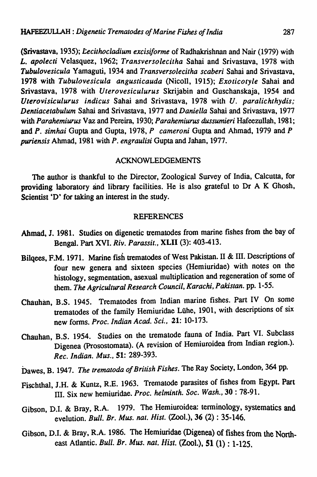(Srivastava, 1935); *Lecithocladium excisiforme* of Radhakrishnan and Nair (1979) with *L. apolecti* Velasquez, 1962; *Transversolecitha* Sahai and Srivastava, 1978 with *Tubulovesicula* Yamaguti, 1934 and *Transversolecitha scaberi* Sahai and Srivastava, 1978 with *Tubulovesicula angusticauda* (Nicoll, 1915); *Exoticotyle* Sahai and Srivastava, 1978 with *Uterovesiculurus* Skrijabin and Guschanskaja, 1954 and *Uterovisiculurus indicus* Sahai and Srivastava, 1978 with U. *paralichthydis; Dentiacetabulum* Sahai and Srivastava, 1977 and *Daniella* Sahai and Srivastava, 1977 with *Parahemiurus* Vaz and Pereira, 1930; *Parahemiurus dussumieri* Hafeezullah, 1981; and P. *simhai* Gupta and Gupta, 1978, P *cameroni* Gupta and Ahmad, 1979 and P *puriensis* Ahmad, 1981 with *P. engrauli9i* Gupta and Jaban, 1977.

#### **ACKNOWLEDGEMENTS**

The author is thankful to the Director, Zoological Survey of India, Calcutta, for providing laboratory and library facilities. He is also grateful to Dr A K Ghosh, Scientist 'D' for taking an interest in the study.

#### REFERENCES

- Ahmad, J. 1981. Studies on digenetic trematodes from marine fishes from the bay of Bengal. Part XVI. *Riv. Parassit.,* XLII (3): 403-413.
- Bilqees, F.M. 1971. Marine fish trematodes of West Pakistan. II & III. Descriptions of four new genera and sixteen species (Hemiuridae) with notes on the histology, segmentation, asexual multiplication and regeneration of some of them. *The Agricultural Research Council. Karachi, Pakistan.* pp. 1-55.
- Chauhan, B.S. 1945. Trematodes from Indian marine fishes. Part IV On some trematodes of the family Hemiuridae Lühe, 1901, with descriptions of six new forms. *Proc.lndian Acad. Sci.,* 21: 10-173.
- Chauhan, B.S. 1954. Studies on the trematode fauna of India. Part VI. Subclass Digenea (Prosostomata). (A revision of Hemiuroidea from Indian region.). *Rec. Indian. Mus.,* 51: 289-393.
- Dawes, B. 1947. *The trematoda of British Fishes.* The Ray Society, London, 364 pp.
- Fischthal, J.H. & Kuntz, R.E. 1963. Trematode parasites of fishes from Egypt. Part Ill. Six new hemiuridae. *Proc. helminth. Soc. Wash.,* 30 : 78-91.
- Gibson, D.I. & Bray, R.A. 1979. The Hemiuroidea: terminology, systematics and evelution. *Bull. Br. Mus. nat. Hist.* (Zoo1.), 36 (2) : 35-146.
- Gibson, D.I. & Bray, R.A. 1986. The Hemiuridae (Digenea) of fishes from the Northeast Atlantic. *Bull. Br. Mus. nat. Hist.* (Zool.), 51 (1) : 1-125.